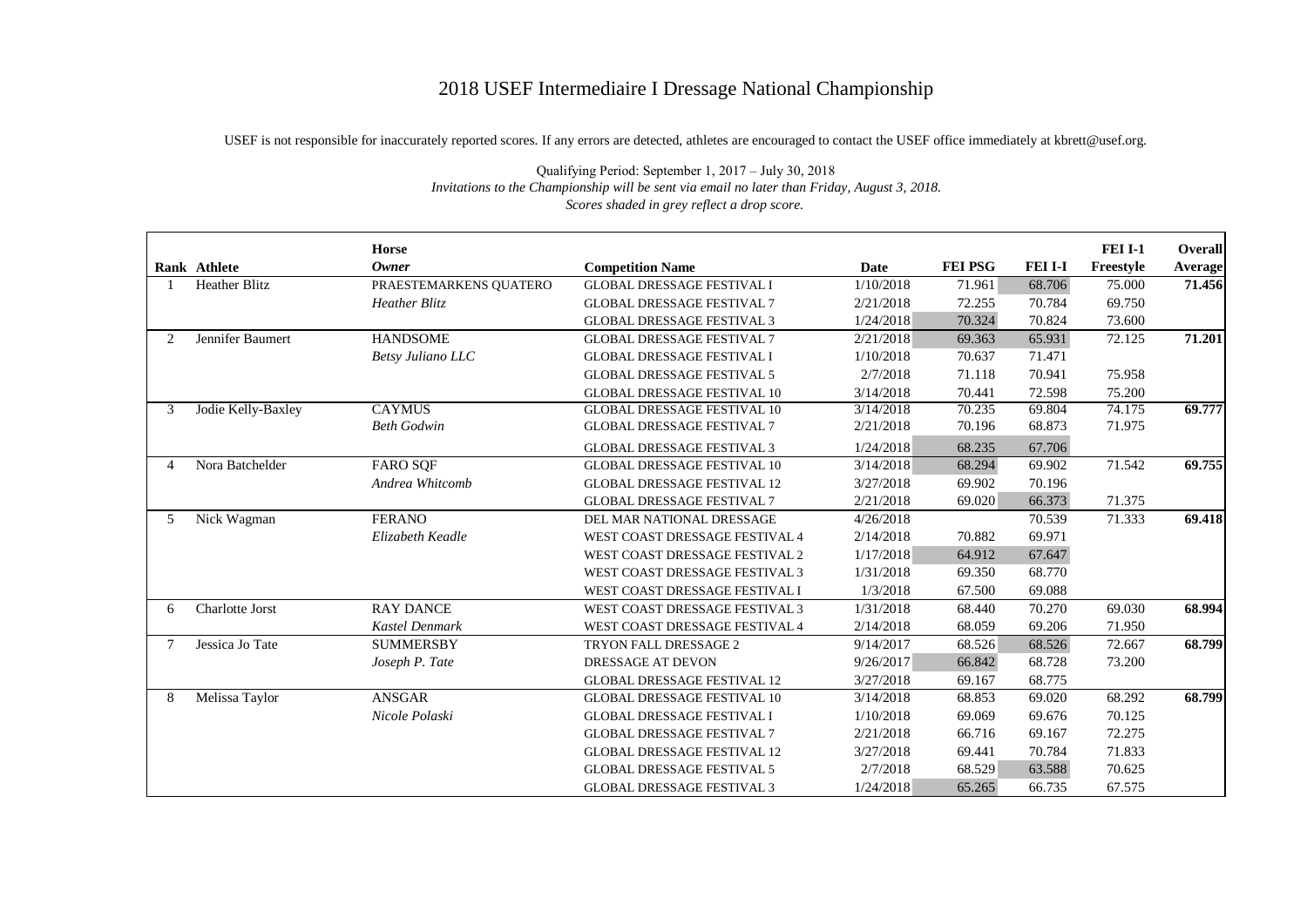## 2018 USEF Intermediaire I Dressage National Championship

USEF is not responsible for inaccurately reported scores. If any errors are detected, athletes are encouraged to contact the USEF office immediately at kbrett@usef.org.

|                | Rank Athlete         | <b>Horse</b><br><b>Owner</b> | <b>Competition Name</b>            | <b>Date</b> | <b>FEI PSG</b> | <b>FEI I-I</b> | <b>FEI I-1</b><br>Freestyle | Overall<br><b>Average</b> |
|----------------|----------------------|------------------------------|------------------------------------|-------------|----------------|----------------|-----------------------------|---------------------------|
|                | <b>Heather Blitz</b> | PRAESTEMARKENS QUATERO       | <b>GLOBAL DRESSAGE FESTIVAL I</b>  | 1/10/2018   | 71.961         | 68.706         | 75.000                      | 71.456                    |
|                |                      | Heather Blitz                | <b>GLOBAL DRESSAGE FESTIVAL 7</b>  | 2/21/2018   | 72.255         | 70.784         | 69.750                      |                           |
|                |                      |                              | <b>GLOBAL DRESSAGE FESTIVAL 3</b>  | 1/24/2018   | 70.324         | 70.824         | 73.600                      |                           |
| $\overline{2}$ | Jennifer Baumert     | <b>HANDSOME</b>              | <b>GLOBAL DRESSAGE FESTIVAL 7</b>  | 2/21/2018   | 69.363         | 65.931         | 72.125                      | 71.201                    |
|                |                      | <b>Betsy Juliano LLC</b>     | <b>GLOBAL DRESSAGE FESTIVAL I</b>  | 1/10/2018   | 70.637         | 71.471         |                             |                           |
|                |                      |                              | <b>GLOBAL DRESSAGE FESTIVAL 5</b>  | 2/7/2018    | 71.118         | 70.941         | 75.958                      |                           |
|                |                      |                              | <b>GLOBAL DRESSAGE FESTIVAL 10</b> | 3/14/2018   | 70.441         | 72.598         | 75.200                      |                           |
| 3              | Jodie Kelly-Baxley   | <b>CAYMUS</b>                | <b>GLOBAL DRESSAGE FESTIVAL 10</b> | 3/14/2018   | 70.235         | 69.804         | 74.175                      | 69.777                    |
|                |                      | <b>Beth Godwin</b>           | <b>GLOBAL DRESSAGE FESTIVAL 7</b>  | 2/21/2018   | 70.196         | 68.873         | 71.975                      |                           |
|                |                      |                              | <b>GLOBAL DRESSAGE FESTIVAL 3</b>  | 1/24/2018   | 68.235         | 67.706         |                             |                           |
| $\overline{4}$ | Nora Batchelder      | <b>FARO SQF</b>              | <b>GLOBAL DRESSAGE FESTIVAL 10</b> | 3/14/2018   | 68.294         | 69.902         | 71.542                      | 69.755                    |
|                |                      | Andrea Whitcomb              | <b>GLOBAL DRESSAGE FESTIVAL 12</b> | 3/27/2018   | 69.902         | 70.196         |                             |                           |
|                |                      |                              | <b>GLOBAL DRESSAGE FESTIVAL 7</b>  | 2/21/2018   | 69.020         | 66.373         | 71.375                      |                           |
| 5              | Nick Wagman          | <b>FERANO</b>                | DEL MAR NATIONAL DRESSAGE          | 4/26/2018   |                | 70.539         | 71.333                      | 69.418                    |
|                |                      | Elizabeth Keadle             | WEST COAST DRESSAGE FESTIVAL 4     | 2/14/2018   | 70.882         | 69.971         |                             |                           |
|                |                      |                              | WEST COAST DRESSAGE FESTIVAL 2     | 1/17/2018   | 64.912         | 67.647         |                             |                           |
|                |                      |                              | WEST COAST DRESSAGE FESTIVAL 3     | 1/31/2018   | 69.350         | 68.770         |                             |                           |
|                |                      |                              | WEST COAST DRESSAGE FESTIVAL I     | 1/3/2018    | 67.500         | 69.088         |                             |                           |
| 6              | Charlotte Jorst      | <b>RAY DANCE</b>             | WEST COAST DRESSAGE FESTIVAL 3     | 1/31/2018   | 68.440         | 70.270         | 69.030                      | 68.994                    |
|                |                      | <b>Kastel Denmark</b>        | WEST COAST DRESSAGE FESTIVAL 4     | 2/14/2018   | 68.059         | 69.206         | 71.950                      |                           |
|                | Jessica Jo Tate      | <b>SUMMERSBY</b>             | TRYON FALL DRESSAGE 2              | 9/14/2017   | 68.526         | 68.526         | 72.667                      | 68.799                    |
|                |                      | Joseph P. Tate               | DRESSAGE AT DEVON                  | 9/26/2017   | 66.842         | 68.728         | 73.200                      |                           |
|                |                      |                              | <b>GLOBAL DRESSAGE FESTIVAL 12</b> | 3/27/2018   | 69.167         | 68.775         |                             |                           |
| 8              | Melissa Taylor       | <b>ANSGAR</b>                | <b>GLOBAL DRESSAGE FESTIVAL 10</b> | 3/14/2018   | 68.853         | 69.020         | 68.292                      | 68.799                    |
|                |                      | Nicole Polaski               | <b>GLOBAL DRESSAGE FESTIVAL I</b>  | 1/10/2018   | 69.069         | 69.676         | 70.125                      |                           |
|                |                      |                              | <b>GLOBAL DRESSAGE FESTIVAL 7</b>  | 2/21/2018   | 66.716         | 69.167         | 72.275                      |                           |
|                |                      |                              | <b>GLOBAL DRESSAGE FESTIVAL 12</b> | 3/27/2018   | 69.441         | 70.784         | 71.833                      |                           |
|                |                      |                              | <b>GLOBAL DRESSAGE FESTIVAL 5</b>  | 2/7/2018    | 68.529         | 63.588         | 70.625                      |                           |
|                |                      |                              | <b>GLOBAL DRESSAGE FESTIVAL 3</b>  | 1/24/2018   | 65.265         | 66.735         | 67.575                      |                           |

Qualifying Period: September 1, 2017 – July 30, 2018  *Invitations to the Championship will be sent via email no later than Friday, August 3, 2018. Scores shaded in grey reflect a drop score.*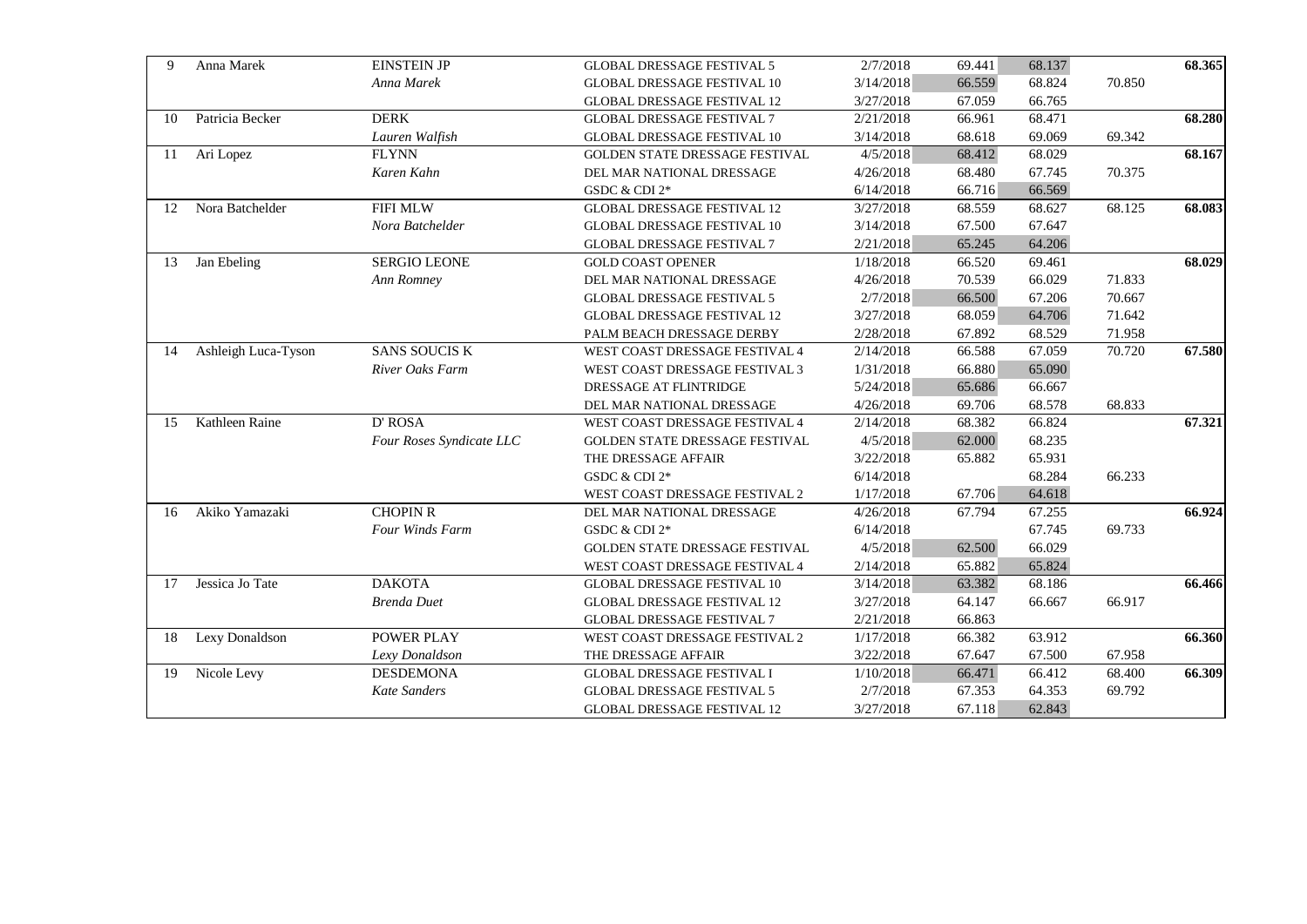| Anna Marek<br>9           | <b>EINSTEIN JP</b>       | <b>GLOBAL DRESSAGE FESTIVAL 5</b>  | 2/7/2018  | 69.441 | 68.137 |        | 68.365 |
|---------------------------|--------------------------|------------------------------------|-----------|--------|--------|--------|--------|
|                           | Anna Marek               | <b>GLOBAL DRESSAGE FESTIVAL 10</b> | 3/14/2018 | 66.559 | 68.824 | 70.850 |        |
|                           |                          | <b>GLOBAL DRESSAGE FESTIVAL 12</b> | 3/27/2018 | 67.059 | 66.765 |        |        |
| Patricia Becker<br>10     | <b>DERK</b>              | <b>GLOBAL DRESSAGE FESTIVAL 7</b>  | 2/21/2018 | 66.961 | 68.471 |        | 68.280 |
|                           | Lauren Walfish           | <b>GLOBAL DRESSAGE FESTIVAL 10</b> | 3/14/2018 | 68.618 | 69.069 | 69.342 |        |
| Ari Lopez<br>11           | <b>FLYNN</b>             | GOLDEN STATE DRESSAGE FESTIVAL     | 4/5/2018  | 68.412 | 68.029 |        | 68.167 |
|                           | Karen Kahn               | DEL MAR NATIONAL DRESSAGE          | 4/26/2018 | 68.480 | 67.745 | 70.375 |        |
|                           |                          | GSDC & CDI 2*                      | 6/14/2018 | 66.716 | 66.569 |        |        |
| Nora Batchelder<br>12     | <b>FIFI MLW</b>          | <b>GLOBAL DRESSAGE FESTIVAL 12</b> | 3/27/2018 | 68.559 | 68.627 | 68.125 | 68.083 |
|                           | Nora Batchelder          | <b>GLOBAL DRESSAGE FESTIVAL 10</b> | 3/14/2018 | 67.500 | 67.647 |        |        |
|                           |                          | <b>GLOBAL DRESSAGE FESTIVAL 7</b>  | 2/21/2018 | 65.245 | 64.206 |        |        |
| Jan Ebeling<br>13         | <b>SERGIO LEONE</b>      | <b>GOLD COAST OPENER</b>           | 1/18/2018 | 66.520 | 69.461 |        | 68.029 |
|                           | Ann Romney               | DEL MAR NATIONAL DRESSAGE          | 4/26/2018 | 70.539 | 66.029 | 71.833 |        |
|                           |                          | <b>GLOBAL DRESSAGE FESTIVAL 5</b>  | 2/7/2018  | 66.500 | 67.206 | 70.667 |        |
|                           |                          | <b>GLOBAL DRESSAGE FESTIVAL 12</b> | 3/27/2018 | 68.059 | 64.706 | 71.642 |        |
|                           |                          | PALM BEACH DRESSAGE DERBY          | 2/28/2018 | 67.892 | 68.529 | 71.958 |        |
| Ashleigh Luca-Tyson<br>14 | <b>SANS SOUCIS K</b>     | WEST COAST DRESSAGE FESTIVAL 4     | 2/14/2018 | 66.588 | 67.059 | 70.720 | 67.580 |
|                           | River Oaks Farm          | WEST COAST DRESSAGE FESTIVAL 3     | 1/31/2018 | 66.880 | 65.090 |        |        |
|                           |                          | DRESSAGE AT FLINTRIDGE             | 5/24/2018 | 65.686 | 66.667 |        |        |
|                           |                          | DEL MAR NATIONAL DRESSAGE          | 4/26/2018 | 69.706 | 68.578 | 68.833 |        |
| Kathleen Raine<br>15      | D' ROSA                  | WEST COAST DRESSAGE FESTIVAL 4     | 2/14/2018 | 68.382 | 66.824 |        | 67.321 |
|                           | Four Roses Syndicate LLC | GOLDEN STATE DRESSAGE FESTIVAL     | 4/5/2018  | 62.000 | 68.235 |        |        |
|                           |                          | THE DRESSAGE AFFAIR                | 3/22/2018 | 65.882 | 65.931 |        |        |
|                           |                          | GSDC & CDI 2*                      | 6/14/2018 |        | 68.284 | 66.233 |        |
|                           |                          | WEST COAST DRESSAGE FESTIVAL 2     | 1/17/2018 | 67.706 | 64.618 |        |        |
| Akiko Yamazaki<br>16      | <b>CHOPIN R</b>          | DEL MAR NATIONAL DRESSAGE          | 4/26/2018 | 67.794 | 67.255 |        | 66.924 |
|                           | Four Winds Farm          | GSDC & CDI 2*                      | 6/14/2018 |        | 67.745 | 69.733 |        |
|                           |                          | GOLDEN STATE DRESSAGE FESTIVAL     | 4/5/2018  | 62.500 | 66.029 |        |        |
|                           |                          | WEST COAST DRESSAGE FESTIVAL 4     | 2/14/2018 | 65.882 | 65.824 |        |        |
| Jessica Jo Tate<br>17     | <b>DAKOTA</b>            | <b>GLOBAL DRESSAGE FESTIVAL 10</b> | 3/14/2018 | 63.382 | 68.186 |        | 66.466 |
|                           | <b>Brenda Duet</b>       | <b>GLOBAL DRESSAGE FESTIVAL 12</b> | 3/27/2018 | 64.147 | 66.667 | 66.917 |        |
|                           |                          | <b>GLOBAL DRESSAGE FESTIVAL 7</b>  | 2/21/2018 | 66.863 |        |        |        |
| Lexy Donaldson<br>18      | POWER PLAY               | WEST COAST DRESSAGE FESTIVAL 2     | 1/17/2018 | 66.382 | 63.912 |        | 66.360 |
|                           | Lexy Donaldson           | THE DRESSAGE AFFAIR                | 3/22/2018 | 67.647 | 67.500 | 67.958 |        |
| Nicole Levy<br>19         | <b>DESDEMONA</b>         | <b>GLOBAL DRESSAGE FESTIVAL I</b>  | 1/10/2018 | 66.471 | 66.412 | 68.400 | 66.309 |
|                           | Kate Sanders             | <b>GLOBAL DRESSAGE FESTIVAL 5</b>  | 2/7/2018  | 67.353 | 64.353 | 69.792 |        |
|                           |                          | <b>GLOBAL DRESSAGE FESTIVAL 12</b> | 3/27/2018 | 67.118 | 62.843 |        |        |